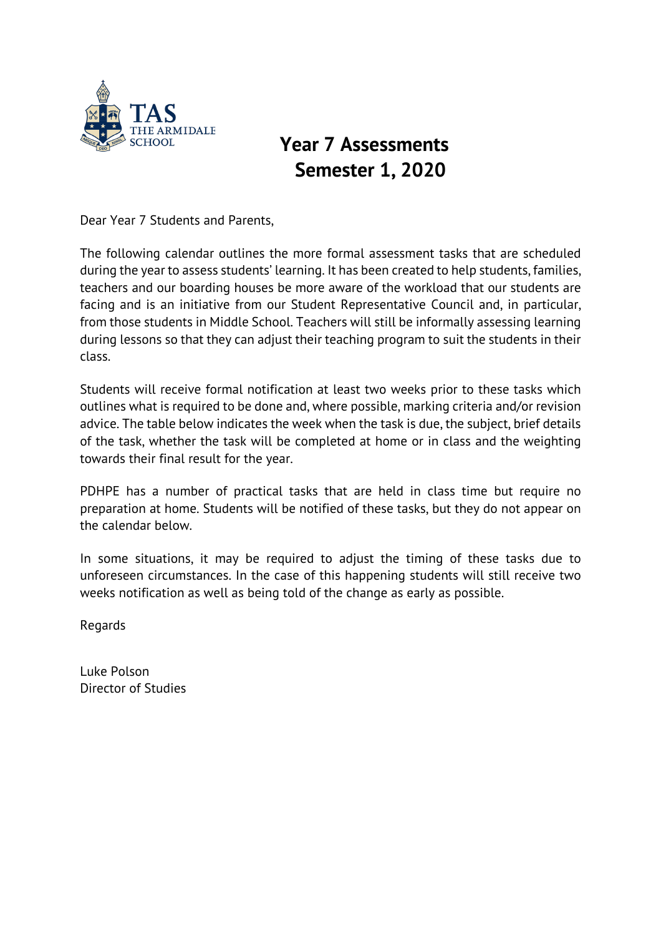

## **Year 7 Assessments Semester 1, 2020**

Dear Year 7 Students and Parents,

The following calendar outlines the more formal assessment tasks that are scheduled during the year to assess students' learning. It has been created to help students, families, teachers and our boarding houses be more aware of the workload that our students are facing and is an initiative from our Student Representative Council and, in particular, from those students in Middle School. Teachers will still be informally assessing learning during lessons so that they can adjust their teaching program to suit the students in their class.

Students will receive formal notification at least two weeks prior to these tasks which outlines what is required to be done and, where possible, marking criteria and/or revision advice. The table below indicates the week when the task is due, the subject, brief details of the task, whether the task will be completed at home or in class and the weighting towards their final result for the year.

PDHPE has a number of practical tasks that are held in class time but require no preparation at home. Students will be notified of these tasks, but they do not appear on the calendar below.

In some situations, it may be required to adjust the timing of these tasks due to unforeseen circumstances. In the case of this happening students will still receive two weeks notification as well as being told of the change as early as possible.

Regards

Luke Polson Director of Studies